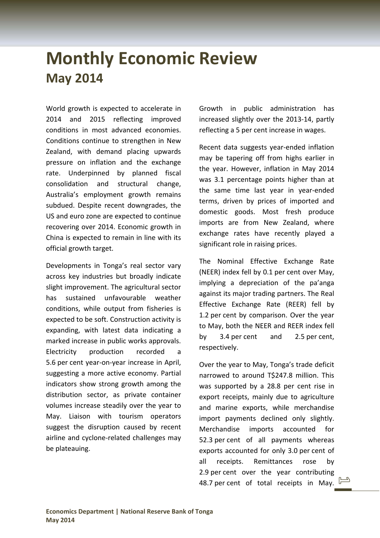# **Monthly Economic Review May 2014**

World growth is expected to accelerate in 2014 and 2015 reflecting improved conditions in most advanced economies. Conditions continue to strengthen in New Zealand, with demand placing upwards pressure on inflation and the exchange rate. Underpinned by planned fiscal consolidation and structural change, Australia's employment growth remains subdued. Despite recent downgrades, the US and euro zone are expected to continue recovering over 2014. Economic growth in China is expected to remain in line with its official growth target.

Developments in Tonga's real sector vary across key industries but broadly indicate slight improvement. The agricultural sector has sustained unfavourable weather conditions, while output from fisheries is expected to be soft. Construction activity is expanding, with latest data indicating a marked increase in public works approvals. Electricity production recorded a 5.6 per cent year‐on‐year increase in April, suggesting a more active economy. Partial indicators show strong growth among the distribution sector, as private container volumes increase steadily over the year to May. Liaison with tourism operators suggest the disruption caused by recent airline and cyclone‐related challenges may be plateauing.

Growth in public administration has increased slightly over the 2013‐14, partly reflecting a 5 per cent increase in wages.

Recent data suggests year‐ended inflation may be tapering off from highs earlier in the year. However, inflation in May 2014 was 3.1 percentage points higher than at the same time last year in year‐ended terms, driven by prices of imported and domestic goods. Most fresh produce imports are from New Zealand, where exchange rates have recently played a significant role in raising prices.

The Nominal Effective Exchange Rate (NEER) index fell by 0.1 per cent over May, implying a depreciation of the pa'anga against its major trading partners. The Real Effective Exchange Rate (REER) fell by 1.2 per cent by comparison. Over the year to May, both the NEER and REER index fell by 3.4 per cent and 2.5 per cent, respectively.

Over the year to May, Tonga's trade deficit narrowed to around T\$247.8 million. This was supported by a 28.8 per cent rise in export receipts, mainly due to agriculture and marine exports, while merchandise import payments declined only slightly. Merchandise imports accounted for 52.3 per cent of all payments whereas exports accounted for only 3.0 per cent of all receipts. Remittances rose by 2.9 per cent over the year contributing 48.7 per cent of total receipts in May.  $\Box$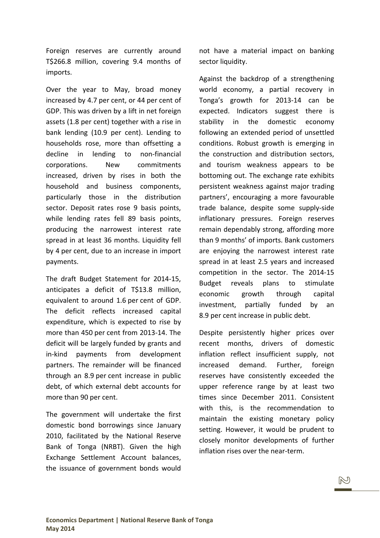Foreign reserves are currently around T\$266.8 million, covering 9.4 months of imports.

Over the year to May, broad money increased by 4.7 per cent, or 44 per cent of GDP. This was driven by a lift in net foreign assets (1.8 per cent) together with a rise in bank lending (10.9 per cent). Lending to households rose, more than offsetting a decline in lending to non-financial corporations. New commitments increased, driven by rises in both the household and business components, particularly those in the distribution sector. Deposit rates rose 9 basis points, while lending rates fell 89 basis points, producing the narrowest interest rate spread in at least 36 months. Liquidity fell by 4 per cent, due to an increase in import payments.

The draft Budget Statement for 2014‐15, anticipates a deficit of T\$13.8 million, equivalent to around 1.6 per cent of GDP. The deficit reflects increased capital expenditure, which is expected to rise by more than 450 per cent from 2013‐14. The deficit will be largely funded by grants and in‐kind payments from development partners. The remainder will be financed through an 8.9 per cent increase in public debt, of which external debt accounts for more than 90 per cent.

The government will undertake the first domestic bond borrowings since January 2010, facilitated by the National Reserve Bank of Tonga (NRBT). Given the high Exchange Settlement Account balances, the issuance of government bonds would

not have a material impact on banking sector liquidity.

Against the backdrop of a strengthening world economy, a partial recovery in Tonga's growth for 2013‐14 can be expected. Indicators suggest there is stability in the domestic economy following an extended period of unsettled conditions. Robust growth is emerging in the construction and distribution sectors, and tourism weakness appears to be bottoming out. The exchange rate exhibits persistent weakness against major trading partners', encouraging a more favourable trade balance, despite some supply‐side inflationary pressures. Foreign reserves remain dependably strong, affording more than 9 months' of imports. Bank customers are enjoying the narrowest interest rate spread in at least 2.5 years and increased competition in the sector. The 2014‐15 Budget reveals plans to stimulate economic growth through capital investment, partially funded by an 8.9 per cent increase in public debt.

Despite persistently higher prices over recent months, drivers of domestic inflation reflect insufficient supply, not increased demand. Further, foreign reserves have consistently exceeded the upper reference range by at least two times since December 2011. Consistent with this, is the recommendation to maintain the existing monetary policy setting. However, it would be prudent to closely monitor developments of further inflation rises over the near‐term.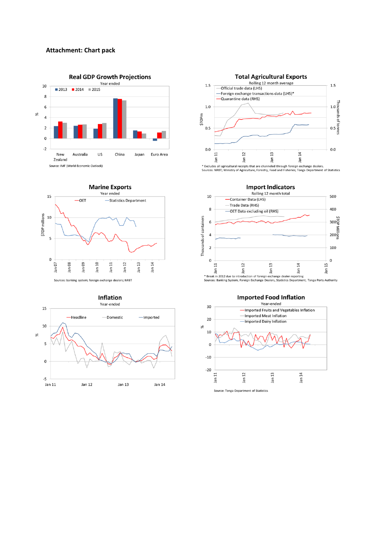#### **Attachment: Chart pack**











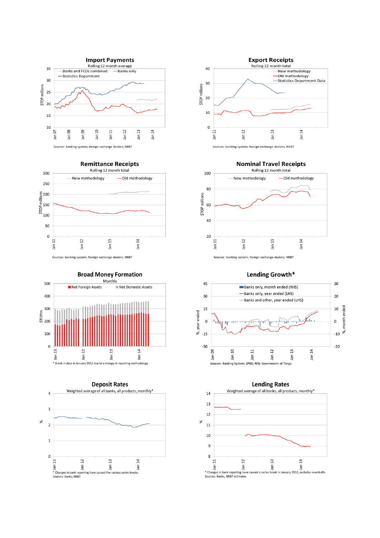

**Remittance Receipts** 



Sources: banking system; foreign exchange dealers; NRBT







**Nominal Travel Receipts** 



Lending Growth\*



### **Lending Rates**